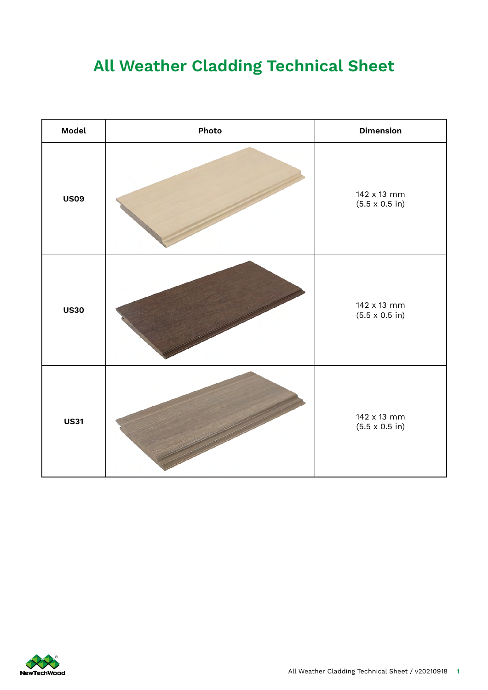## **All Weather Cladding Technical Sheet**

| Model       | Photo | <b>Dimension</b>                             |  |
|-------------|-------|----------------------------------------------|--|
| <b>US09</b> |       | 142 x 13 mm<br>$(5.5 \times 0.5 \text{ in})$ |  |
| <b>US30</b> |       | 142 x 13 mm<br>$(5.5 \times 0.5 \text{ in})$ |  |
| <b>US31</b> |       | 142 x 13 mm<br>$(5.5 \times 0.5 \text{ in})$ |  |

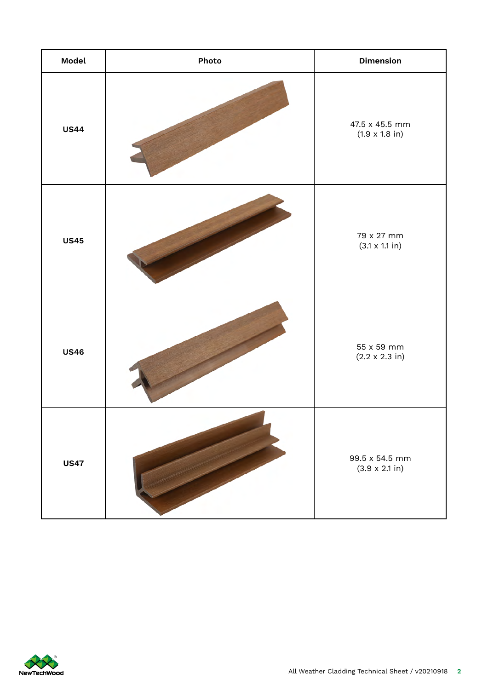| Model       | Photo | <b>Dimension</b>                                |  |
|-------------|-------|-------------------------------------------------|--|
| <b>US44</b> |       | 47.5 x 45.5 mm<br>$(1.9 \times 1.8)$ in)        |  |
| <b>US45</b> |       | 79 x 27 mm<br>$(3.1 \times 1.1 \text{ in})$     |  |
| <b>US46</b> |       | 55 x 59 mm<br>$(2.2 \times 2.3 \text{ in})$     |  |
| <b>US47</b> |       | 99.5 x 54.5 mm<br>$(3.9 \times 2.1 \text{ in})$ |  |

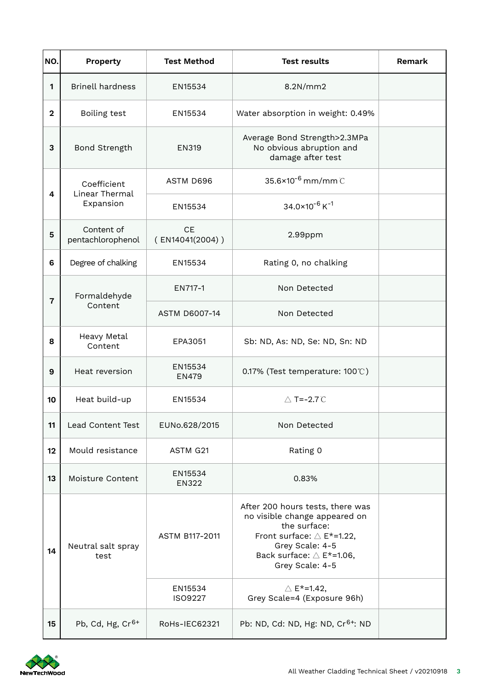| NO.            | Property                                   | <b>Test Method</b>      | <b>Test results</b>                                                                                                                                                                                  | Remark |
|----------------|--------------------------------------------|-------------------------|------------------------------------------------------------------------------------------------------------------------------------------------------------------------------------------------------|--------|
| $\mathbf{1}$   | <b>Brinell hardness</b>                    | EN15534                 | 8.2N/mm2                                                                                                                                                                                             |        |
| $\overline{2}$ | Boiling test                               | EN15534                 | Water absorption in weight: 0.49%                                                                                                                                                                    |        |
| 3              | Bond Strength                              | <b>EN319</b>            | Average Bond Strength>2.3MPa<br>No obvious abruption and<br>damage after test                                                                                                                        |        |
| 4              | Coefficient<br>Linear Thermal<br>Expansion | ASTM D696               | $35.6 \times 10^{-6}$ mm/mm $\degree$                                                                                                                                                                |        |
|                |                                            | EN15534                 | $34.0\times10^{-6}$ K <sup>-1</sup>                                                                                                                                                                  |        |
| 5              | Content of<br>pentachlorophenol            | CE<br>(EN14041(2004))   | 2.99ppm                                                                                                                                                                                              |        |
| 6              | Degree of chalking                         | EN15534                 | Rating 0, no chalking                                                                                                                                                                                |        |
| 7              | Formaldehyde<br>Content                    | EN717-1                 | Non Detected                                                                                                                                                                                         |        |
|                |                                            | <b>ASTM D6007-14</b>    | Non Detected                                                                                                                                                                                         |        |
| 8              | Heavy Metal<br>Content                     | EPA3051                 | Sb: ND, As: ND, Se: ND, Sn: ND                                                                                                                                                                       |        |
| 9              | Heat reversion                             | EN15534<br><b>EN479</b> | 0.17% (Test temperature: 100°C)                                                                                                                                                                      |        |
| 10             | Heat build-up                              | EN15534                 | $\triangle$ T=-2.7 °C                                                                                                                                                                                |        |
| 11             | Lead Content Test                          | EUNo.628/2015           | Non Detected                                                                                                                                                                                         |        |
| 12             | Mould resistance                           | ASTM G21                | Rating 0                                                                                                                                                                                             |        |
| 13             | Moisture Content                           | EN15534<br>EN322        | 0.83%                                                                                                                                                                                                |        |
| 14             | Neutral salt spray<br>test                 | ASTM B117-2011          | After 200 hours tests, there was<br>no visible change appeared on<br>the surface:<br>Front surface: $\triangle$ E*=1.22,<br>Grey Scale: 4-5<br>Back surface: $\triangle$ E*=1.06,<br>Grey Scale: 4-5 |        |
|                |                                            | EN15534<br>ISO9227      | $\triangle$ E <sup>*</sup> =1.42,<br>Grey Scale=4 (Exposure 96h)                                                                                                                                     |        |
| 15             | Pb, Cd, Hg, $Cr6+$                         | RoHs-IEC62321           | Pb: ND, Cd: ND, Hg: ND, Cr <sup>6+</sup> : ND                                                                                                                                                        |        |